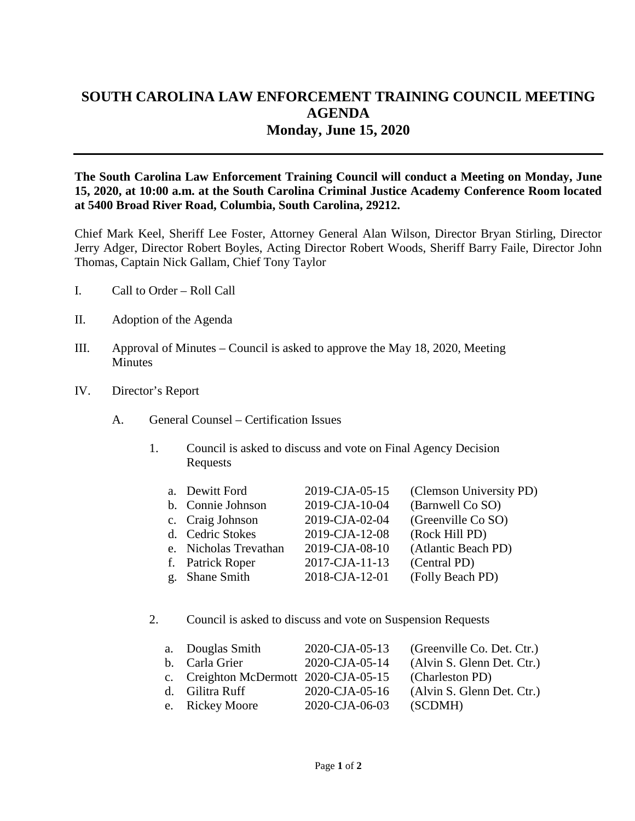## **SOUTH CAROLINA LAW ENFORCEMENT TRAINING COUNCIL MEETING AGENDA Monday, June 15, 2020**

## **The South Carolina Law Enforcement Training Council will conduct a Meeting on Monday, June 15, 2020, at 10:00 a.m. at the South Carolina Criminal Justice Academy Conference Room located at 5400 Broad River Road, Columbia, South Carolina, 29212.**

Chief Mark Keel, Sheriff Lee Foster, Attorney General Alan Wilson, Director Bryan Stirling, Director Jerry Adger, Director Robert Boyles, Acting Director Robert Woods, Sheriff Barry Faile, Director John Thomas, Captain Nick Gallam, Chief Tony Taylor

- I. Call to Order Roll Call
- II. Adoption of the Agenda
- III. Approval of Minutes Council is asked to approve the May 18, 2020, Meeting **Minutes**
- IV. Director's Report
	- A. General Counsel Certification Issues
		- 1. Council is asked to discuss and vote on Final Agency Decision Requests

| (Greenville Co SO)<br>(Atlantic Beach PD) |
|-------------------------------------------|

## 2. Council is asked to discuss and vote on Suspension Requests

| a. Douglas Smith                      | 2020-CJA-05-13 | (Greenville Co. Det. Ctr.) |
|---------------------------------------|----------------|----------------------------|
| b. Carla Grier                        | 2020-CJA-05-14 | (Alvin S. Glenn Det. Ctr.) |
| c. Creighton McDermott 2020-CJA-05-15 |                | (Charleston PD)            |
| d. Gilitra Ruff                       | 2020-CJA-05-16 | (Alvin S. Glenn Det. Ctr.) |
| e. Rickey Moore                       | 2020-CJA-06-03 | (SCDMH)                    |